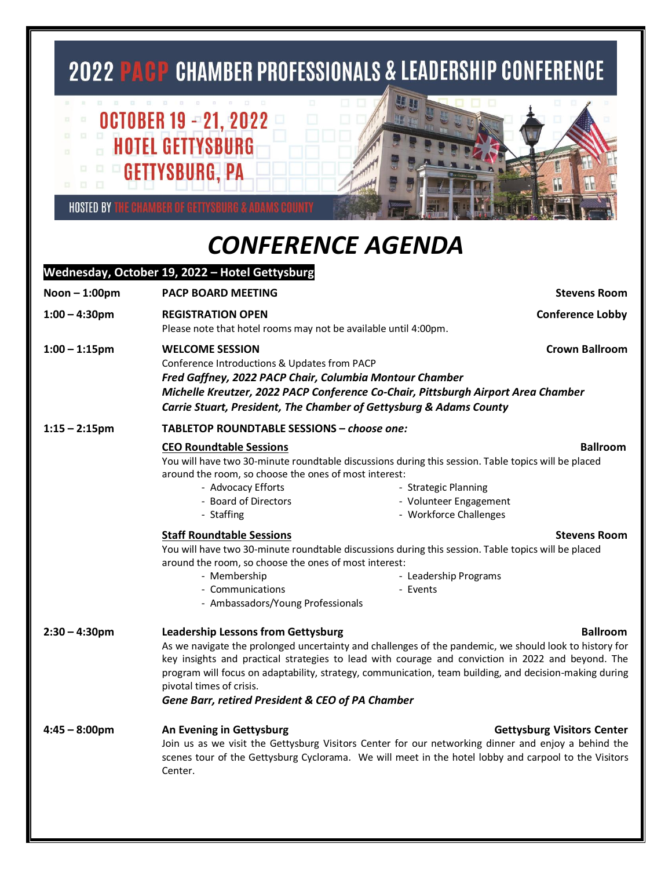## **2022 PACP CHAMBER PROFESSIONALS & LEADERSHIP CONFERENCE**

## **OCTOBER 19 - 21, 2022 HOTEL GETTYSBURG EDITE GETTYSBURG, PA**

**HOSTED BY THE CHAMBER OF GETTYSBURG & ADA** 

## *CONFERENCE AGENDA*

## **Wednesday, October 19, 2022 – Hotel Gettysburg Noon – 1:00pm PACP BOARD MEETING Stevens Room 1:00 – 4:30pm REGISTRATION OPEN Conference Lobby** Please note that hotel rooms may not be available until 4:00pm. **1:00 – 1:15pm WELCOME SESSION Crown Ballroom** Conference Introductions & Updates from PACP *Fred Gaffney, 2022 PACP Chair, Columbia Montour Chamber Michelle Kreutzer, 2022 PACP Conference Co-Chair, Pittsburgh Airport Area Chamber Carrie Stuart, President, The Chamber of Gettysburg & Adams County* **1:15 – 2:15pm TABLETOP ROUNDTABLE SESSIONS –** *choose one:* **CEO Roundtable Sessions Ballroom** You will have two 30-minute roundtable discussions during this session. Table topics will be placed around the room, so choose the ones of most interest: - Advocacy Efforts - Strategic Planning - Board of Directors **Access 20 Figure 2018** - Volunteer Engagement - Staffing **- Workforce Challenges Staff Roundtable Sessions Stevens Stevens Stevens Room** You will have two 30-minute roundtable discussions during this session. Table topics will be placed around the room, so choose the ones of most interest: - Membership **Mathematic Contract Contract Contract Contract Contract Contract Contract Contract Contract Contract Contract Contract Contract Contract Contract Contract Contract Contract Contract Contract Contract Contract** - Communications **Communications F** Events - Ambassadors/Young Professionals **2:30 – 4:30pm Leadership Lessons from Gettysburg Ballroom** As we navigate the prolonged uncertainty and challenges of the pandemic, we should look to history for key insights and practical strategies to lead with courage and conviction in 2022 and beyond. The program will focus on adaptability, strategy, communication, team building, and decision-making during pivotal times of crisis. *Gene Barr, retired President & CEO of PA Chamber* **4:45 – 8:00pm An Evening in Gettysburg Gettysburg Visitors Center** Join us as we visit the Gettysburg Visitors Center for our networking dinner and enjoy a behind the scenes tour of the Gettysburg Cyclorama. We will meet in the hotel lobby and carpool to the Visitors Center.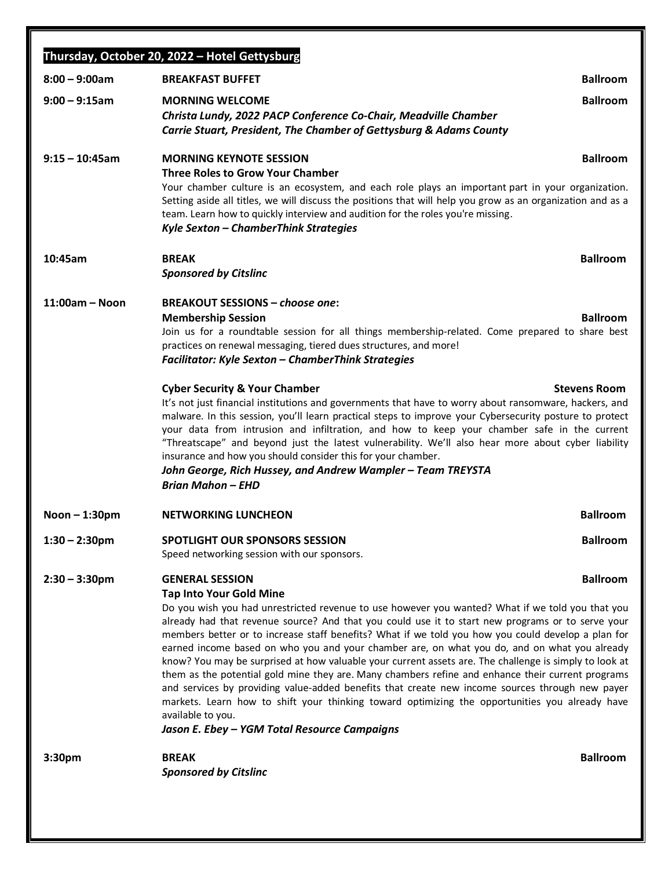|                    | Thursday, October 20, 2022 - Hotel Gettysburg                                                                                                                                                                                                                                                       |                     |
|--------------------|-----------------------------------------------------------------------------------------------------------------------------------------------------------------------------------------------------------------------------------------------------------------------------------------------------|---------------------|
| $8:00 - 9:00am$    | <b>BREAKFAST BUFFET</b>                                                                                                                                                                                                                                                                             | <b>Ballroom</b>     |
| $9:00 - 9:15$ am   | <b>MORNING WELCOME</b>                                                                                                                                                                                                                                                                              | <b>Ballroom</b>     |
|                    | Christa Lundy, 2022 PACP Conference Co-Chair, Meadville Chamber                                                                                                                                                                                                                                     |                     |
|                    | Carrie Stuart, President, The Chamber of Gettysburg & Adams County                                                                                                                                                                                                                                  |                     |
| $9:15 - 10:45$ am  | <b>MORNING KEYNOTE SESSION</b>                                                                                                                                                                                                                                                                      | <b>Ballroom</b>     |
|                    | <b>Three Roles to Grow Your Chamber</b>                                                                                                                                                                                                                                                             |                     |
|                    | Your chamber culture is an ecosystem, and each role plays an important part in your organization.<br>Setting aside all titles, we will discuss the positions that will help you grow as an organization and as a<br>team. Learn how to quickly interview and audition for the roles you're missing. |                     |
|                    | Kyle Sexton - ChamberThink Strategies                                                                                                                                                                                                                                                               |                     |
| 10:45am            | <b>BREAK</b>                                                                                                                                                                                                                                                                                        | <b>Ballroom</b>     |
|                    | <b>Sponsored by Citslinc</b>                                                                                                                                                                                                                                                                        |                     |
|                    |                                                                                                                                                                                                                                                                                                     |                     |
| $11:00am - Noon$   | <b>BREAKOUT SESSIONS - choose one:</b>                                                                                                                                                                                                                                                              |                     |
|                    | <b>Membership Session</b><br>Join us for a roundtable session for all things membership-related. Come prepared to share best                                                                                                                                                                        | <b>Ballroom</b>     |
|                    | practices on renewal messaging, tiered dues structures, and more!                                                                                                                                                                                                                                   |                     |
|                    | <b>Facilitator: Kyle Sexton - ChamberThink Strategies</b>                                                                                                                                                                                                                                           |                     |
|                    | <b>Cyber Security &amp; Your Chamber</b>                                                                                                                                                                                                                                                            | <b>Stevens Room</b> |
|                    | It's not just financial institutions and governments that have to worry about ransomware, hackers, and                                                                                                                                                                                              |                     |
|                    | malware. In this session, you'll learn practical steps to improve your Cybersecurity posture to protect                                                                                                                                                                                             |                     |
|                    | your data from intrusion and infiltration, and how to keep your chamber safe in the current<br>"Threatscape" and beyond just the latest vulnerability. We'll also hear more about cyber liability                                                                                                   |                     |
|                    | insurance and how you should consider this for your chamber.                                                                                                                                                                                                                                        |                     |
|                    | John George, Rich Hussey, and Andrew Wampler - Team TREYSTA                                                                                                                                                                                                                                         |                     |
|                    | <b>Brian Mahon - EHD</b>                                                                                                                                                                                                                                                                            |                     |
| Noon $-1:30$ pm    | <b>NETWORKING LUNCHEON</b>                                                                                                                                                                                                                                                                          | <b>Ballroom</b>     |
| $1:30 - 2:30$ pm   | <b>SPOTLIGHT OUR SPONSORS SESSION</b>                                                                                                                                                                                                                                                               | <b>Ballroom</b>     |
|                    | Speed networking session with our sponsors.                                                                                                                                                                                                                                                         |                     |
| $2:30 - 3:30$ pm   | <b>GENERAL SESSION</b>                                                                                                                                                                                                                                                                              | <b>Ballroom</b>     |
|                    | <b>Tap Into Your Gold Mine</b>                                                                                                                                                                                                                                                                      |                     |
|                    | Do you wish you had unrestricted revenue to use however you wanted? What if we told you that you<br>already had that revenue source? And that you could use it to start new programs or to serve your                                                                                               |                     |
|                    | members better or to increase staff benefits? What if we told you how you could develop a plan for                                                                                                                                                                                                  |                     |
|                    | earned income based on who you and your chamber are, on what you do, and on what you already                                                                                                                                                                                                        |                     |
|                    | know? You may be surprised at how valuable your current assets are. The challenge is simply to look at<br>them as the potential gold mine they are. Many chambers refine and enhance their current programs                                                                                         |                     |
|                    | and services by providing value-added benefits that create new income sources through new payer                                                                                                                                                                                                     |                     |
|                    | markets. Learn how to shift your thinking toward optimizing the opportunities you already have                                                                                                                                                                                                      |                     |
|                    | available to you.<br>Jason E. Ebey - YGM Total Resource Campaigns                                                                                                                                                                                                                                   |                     |
|                    |                                                                                                                                                                                                                                                                                                     |                     |
| 3:30 <sub>pm</sub> | <b>BREAK</b>                                                                                                                                                                                                                                                                                        | <b>Ballroom</b>     |
|                    | <b>Sponsored by Citslinc</b>                                                                                                                                                                                                                                                                        |                     |
|                    |                                                                                                                                                                                                                                                                                                     |                     |